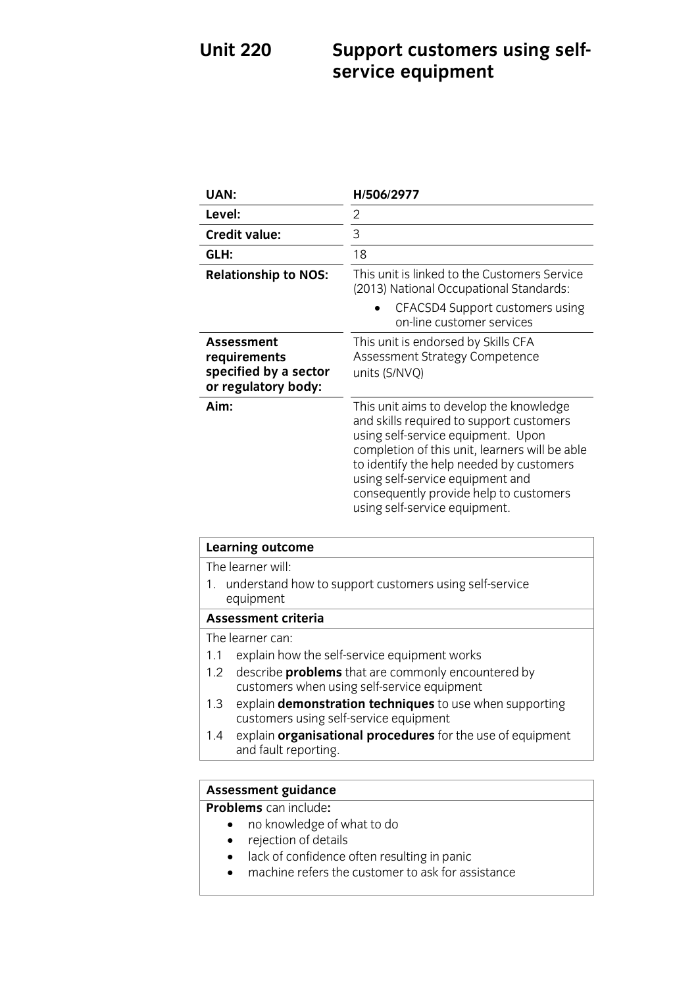## **UNITED** Support customers using sent-<br> **SPINICP PRILIMENT service equipment**

| UAN:                                                                              | H/506/2977                                                                                                                                                                                                                                                                                                                             |
|-----------------------------------------------------------------------------------|----------------------------------------------------------------------------------------------------------------------------------------------------------------------------------------------------------------------------------------------------------------------------------------------------------------------------------------|
| Level:                                                                            | 2                                                                                                                                                                                                                                                                                                                                      |
| <b>Credit value:</b>                                                              | 3                                                                                                                                                                                                                                                                                                                                      |
| GLH:                                                                              | 18                                                                                                                                                                                                                                                                                                                                     |
| <b>Relationship to NOS:</b>                                                       | This unit is linked to the Customers Service<br>(2013) National Occupational Standards:                                                                                                                                                                                                                                                |
|                                                                                   | CFACSD4 Support customers using<br>on-line customer services                                                                                                                                                                                                                                                                           |
| <b>Assessment</b><br>requirements<br>specified by a sector<br>or regulatory body: | This unit is endorsed by Skills CFA<br>Assessment Strategy Competence<br>units (S/NVQ)                                                                                                                                                                                                                                                 |
| Aim:                                                                              | This unit aims to develop the knowledge<br>and skills required to support customers<br>using self-service equipment. Upon<br>completion of this unit, learners will be able<br>to identify the help needed by customers<br>using self-service equipment and<br>consequently provide help to customers<br>using self-service equipment. |

| <b>Learning outcome</b>                                                                                         |  |
|-----------------------------------------------------------------------------------------------------------------|--|
| The learner will:                                                                                               |  |
| 1. understand how to support customers using self-service<br>equipment                                          |  |
| <b>Assessment criteria</b>                                                                                      |  |
| The learner can:                                                                                                |  |
| explain how the self-service equipment works<br>1.1                                                             |  |
| describe <b>problems</b> that are commonly encountered by<br>1.2<br>customers when using self-service equipment |  |
| explain <b>demonstration techniques</b> to use when supporting<br>1.3<br>customers using self-service equipment |  |
| explain organisational procedures for the use of equipment<br>1.4<br>and fault reporting.                       |  |
|                                                                                                                 |  |

# **Assessment guidance**<br>**Problems** can include:

- no knowledge of what to do
	- rejection of details
	- lack of confidence often resulting in panic
	- machine refers the customer to ask for assistance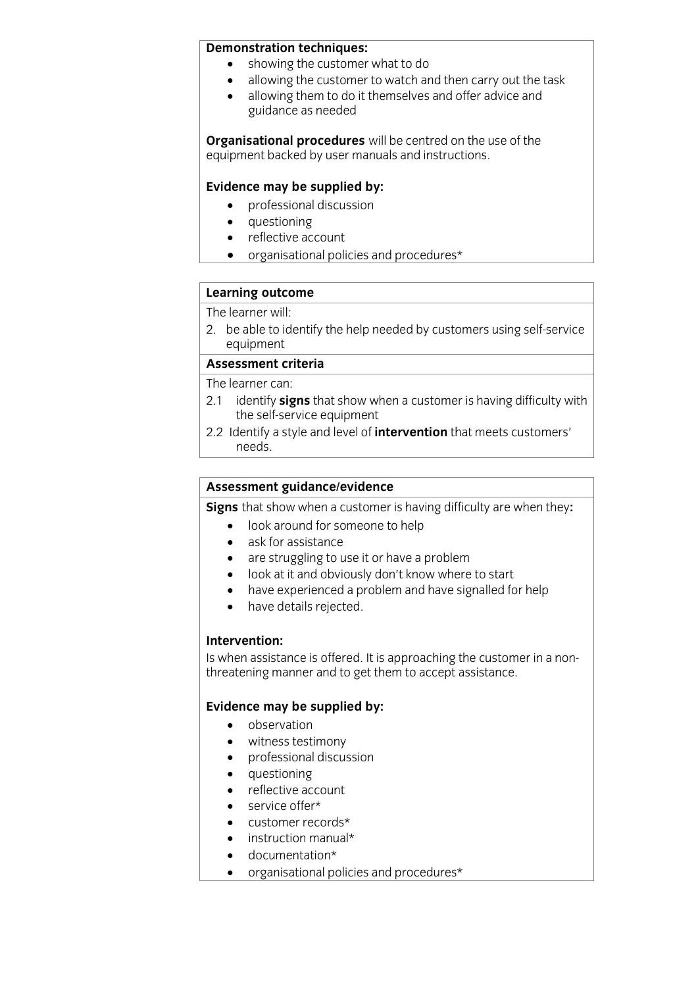- **Showing the customer what to do** 
	- allowing the customer to watch and then carry out the task<br>• allowing them to do it themselves and offer advice and
	- allowing them to do it themselves and offer advice and guidance as needed

**Complete under the use of the user manuals and instructions** equipment backed by user manuals and instructions.

**Evidence may be supplied by:**<br> **e** professional discussion

guidance as needed

- questioning<br>• reflective ac
- reflective account
- organisational policies and procedures\*

## **Learning outcome**<br>The learner will:

2. be able to identify the help needed by customers using self-service equipment

## Assessment criteria

The learner can:

- 2.1 identify signs that show when a customer is having difficulty with the self-service equipment
- 2.2 Identify a style and level of *intervention* that meets customers' 2.2 Identify a style and level of **intervention** that meets customers'  $\frac{1}{\sqrt{1-\frac{1}{2}}\cdot\frac{1}{2}}$

**Assessment guidance/evidence**<br>**Signs** that show when a customer is having difficulty are when they:

- **Signs 2018**<br> **Signs 2019**<br> **Signs 2019**<br> **e** ask for assistance
	- ask for assistance<br>• are struggling to u
	- are struggling to use it or have a problem
	- look at it and obviously don't know where to start
	- have experienced a problem and have signalled for help<br>• have details reiected.
	- have details rejected.

## Intervention:

Is when assistance is offered. It is approaching the customer in a non-Is men assistance is encreasing approaching the customer in a non-<br>threatening manner and to get them to accent assistance threatening manner and to get them to accept assistance.

- **Evidence** may be supplied by:
	-
	- witness testimony<br>• professional discus professional discussion
	- auestioning
	- reflective account
	- service offer\*
	- customer records\*
	- instruction manual\*
	- documentation\*<br>• organisational no
	- organisational policies and procedures\*